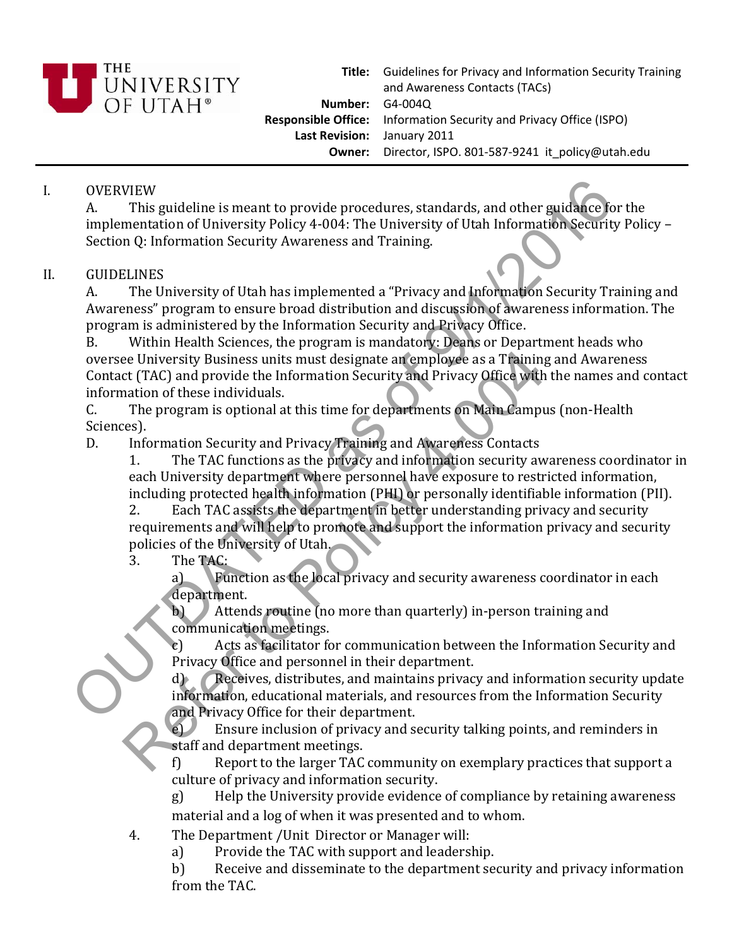

**Title:** Guidelines for Privacy and Information Security Training **Number:** G4‐004Q **Responsible Office:** Information Security and Privacy Office (ISPO) **Last Revision:** January 2011 **Owner:** Director, ISPO. 801‐587‐9241 it\_policy@utah.edu and Awareness Contacts (TACs)

## I. OVERVIEW

A. This guideline is meant to provide procedures, standards, and other guidance for the implementation of University Policy 4‐004: The University of Utah Information Security Policy – Section Q: Information Security Awareness and Training.

## II. GUIDELINES

A. The University of Utah has implemented a "Privacy and Information Security Training and Awareness" program to ensure broad distribution and discussion of awareness information. The program is administered by the Information Security and Privacy Office.

B. Within Health Sciences, the program is mandatory: Deans or Department heads who oversee University Business units must designate an employee as a Training and Awareness Contact (TAC) and provide the Information Security and Privacy Office with the names and contact information of these individuals. OVERVIEW<br>
A. This guideline is meant to provide procedures, standards, and other guidakee for<br>
Implementation of University Policy 4-004: The University of Utah Information Security Iset<br>
Section Q: Information Security Aw

C. The program is optional at this time for departments on Main Campus (non‐Health Sciences).

D. Information Security and Privacy Training and Awareness Contacts

1. The TAC functions as the privacy and information security awareness coordinator in each University department where personnel have exposure to restricted information, including protected health information (PHI) or personally identifiable information (PII).

2. Each TAC assists the department in better understanding privacy and security requirements and will help to promote and support the information privacy and security policies of the University of Utah. Experimentation of these individuals and the logarity and provide the information Security and Privacy Office with<br>The program is optional at this time for departments on Main Campus<br>The program is optional at this time fo

3. The TAC:

a) Function as the local privacy and security awareness coordinator in each department.

b) Attends routine (no more than quarterly) in‐person training and communication meetings.

c) Acts as facilitator for communication between the Information Security and Privacy Office and personnel in their department.

d) Receives, distributes, and maintains privacy and information security update information, educational materials, and resources from the Information Security and Privacy Office for their department.

e) Ensure inclusion of privacy and security talking points, and reminders in staff and department meetings.

f) Report to the larger TAC community on exemplary practices that support a culture of privacy and information security.

g) Help the University provide evidence of compliance by retaining awareness material and a log of when it was presented and to whom.

4. The Department /Unit Director or Manager will:

a) Provide the TAC with support and leadership.

b) Receive and disseminate to the department security and privacy information from the TAC.